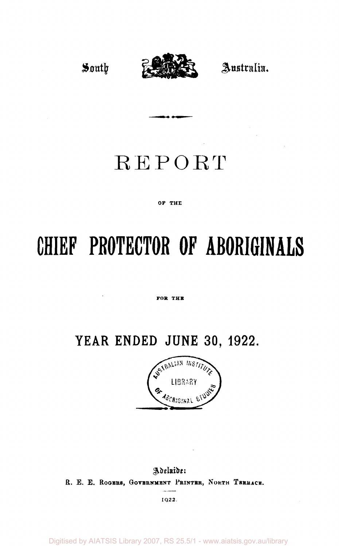

# REPORT

...

#### OF THE

# **CHIEF PROTECTOR OF ABORIGINALS**

#### FOR THE

# **YEAR ENDED JUNE 30. 1922.**



# Adeluide: R. E. E. ROGERS, GOVERNMENT PRINTER, NORTH TERRACE.

**1922.** 

Digitised by AIATSIS Library 2007, RS 25.5/1 - www.aiatsis.gov.au/library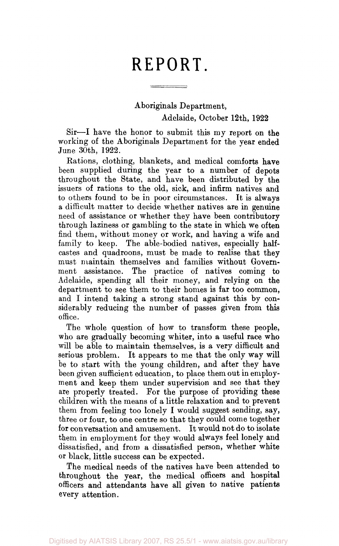# **REPORT.**

Aboriginals Department, Adelaide, October 12th, 1922

Sir—I have the honor to submit this my report on the working of the Aboriginals Department for the year ended June 30th, 1922.

Rations, clothing, blankets, and medical comforts have been supplied during the year to a number of depots throughout the State, and have been distributed by the issuers of rations to the old, sick, and infirm natives and to others found to be in poor circumstances. It is always a difficult matter to decide whether natives are in genuine need of assistance or whether they have been contributory through laziness or gambling to the state in which we often find them, without money or work, and having a wife and family to keep. The able-bodied natives, especially halfcastes and quadroons, must be made to realise that they must maintain themselves and families without Government assistance. The practice of natives coming to Adelaide, spending all their money, and relying on the department to see them to their homes is far too common, and I intend taking a strong stand against this by considerably reducing the number of passes given from this office.

The whole question of how to transform these people, who are gradually becoming whiter, into a useful race who will be able to maintain themselves, is a very difficult and serious problem. It appears to me that the only way will be to start with the young children, and after they have been given sufficient education, to place them out in employment and keep them under supervision and see that they are properly treated. For the purpose of providing these children with the means of a little relaxation and to prevent them from feeling too lonely I would suggest sending, say, three or four, to one centre so that they could come together for conversation and amusement. It would not do to isolate them in employment for they would always feel lonely and dissatisfied, and from a dissatisfied person, whether white or black, little success can be expected.

The medical needs of the natives have been attended to throughout the year, the medical officers and hospital officers and attendants have all given to native patients every attention.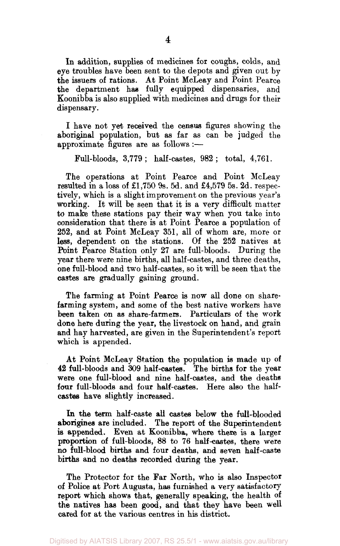In addition, supplies of medicines for coughs, colds, and eye troubles have been sent to the depots and given out by the issuers of rations. At Point McLeay and Point Pearce the department has fully equipped dispensaries, and Koonibba is also supplied with medicines and drugs for their dispensary.

I have not yet received the census figures showing the aboriginal population, but as far as can be judged the approximate figures are as follows :—

Full-bloods, 3,779; half-castes, 982; total, 4,761.

The operations at Point Pearce and Point McLeay resulted in a loss of £1,750 9s. 5d. and £4,579 5s. 2d. respectively, which is a slight improvement on the previous year's working. It will be seen that it is a very difficult matter to make these stations pay their way when you take into consideration that there is at Point Pearce a population of 252, and at Point McLeay 351, all of whom are, more or less, dependent on the stations. Of the 252 natives at Point Pearce Station only 27 are full-bloods. During the year there were nine births, all half-castes, and three deaths, one full-blood and two half-castes, so it will be seen that the castes are gradually gaining ground.

The farming at Point Pearce is now all done on sharefarming system, and some of the best native workers have been taken on as share-farmers. Particulars of the work done here during the year, the livestock on hand, and grain and hay harvested, are given in the Superintendent's report which is appended.

At Point McLeay Station the population is made up of 42 full-bloods and 309 half-castes. The births for the year were one full-blood and nine half-castes, and the deaths four full-bloods and four half-castes. Here also the halfcastes have slightly increased.

In the term half-caste all castes below the full-blooded aborigines are included. The report of the Superintendent is appended. Even at Koonibba, where there is a larger proportion of full-bloods, 88 to 76 half-castes, there were no full-blood births and four deaths, and seven half-caste births and no deaths recorded during the year.

The Protector for the Far North, who is also Inspector of Police at Port Augusta, has furnished a very satisfactory report which shows that, generally speaking, the health of the natives has been good, and that they have been well cared for at the various centres in his district.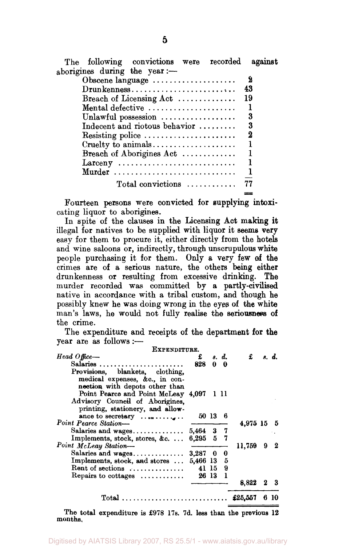| The following convictions were recorded                     | against |
|-------------------------------------------------------------|---------|
| aborigines during the year :-                               |         |
| Obscene language                                            | - 2     |
| $D$ run kenness                                             | 43      |
| Breach of Licensing Act $\ldots$                            | -19     |
| Mental defective $\dots\dots\dots\dots\dots\dots\dots\dots$ |         |
| Unlawful possession $\ldots$                                | 3       |
| Indecent and riotous behavior $\dots\dots\dots$             | 3       |
| Resisting police                                            | 2       |
|                                                             |         |
| Breach of Aborigines Act $\ldots$                           |         |
| $\text{Larceny}$                                            |         |
| Murder                                                      |         |
|                                                             |         |
| $Total$ convictions $\ldots \ldots \ldots$                  | 77      |

Fourteen persons were convicted for supplying intoxicating liquor to aborigines.

In spite of the clauses in the Licensing Act making it illegal for natives to be supplied with liquor it seems very easy for them to procure it, either directly from the hotels and wine saloons or, indirectly, through unscrupulous white people purchasing it for them. Only a very few of the crimes are of a serious nature, the others being either drunkenness or resulting from excessive drinking. The murder recorded was committed by a partly-civilised native in accordance with a tribal custom, and though he possibly knew he was doing wrong in the eyes of the white man's laws, he would not fully realise the seriousness of the crime.

The expenditure and receipts of the department for the year are as follows :—

| EXPENDITURE.                                 |                 |         |                 |          |     |       |
|----------------------------------------------|-----------------|---------|-----------------|----------|-----|-------|
| $Head \text{ } Of \text{fice} \rightarrow$   | £               |         | s. d.           | £        |     | s. d. |
| Salaries                                     | 828             |         | $0\quad \theta$ |          |     |       |
| Provisions, blankets, clothing,              |                 |         |                 |          |     |       |
| medical expenses, &c., in con-               |                 |         |                 |          |     |       |
| nection with depots other than               |                 |         |                 |          |     |       |
| Point Pearce and Point McLeay 4,097 1 11     |                 |         |                 |          |     |       |
| Advisory Council of Aborigines.              |                 |         |                 |          |     |       |
| printing, stationery, and allow-             |                 |         |                 |          |     |       |
| ance to secretary $\dots \dots \dots$        |                 | 50 13 6 |                 |          |     |       |
| Point Pearce Station-                        |                 |         |                 | 4,975 15 |     | - 5   |
| Salaries and wages                           | 5,464 3 7       |         |                 |          |     |       |
| Implements, stock, stores, &c                | 6,295 5 7       |         |                 |          |     |       |
| Point McLeay Station-                        |                 |         |                 | 11.759   | 9   | -2    |
|                                              | $3.287 \t0 \t0$ |         |                 |          |     |       |
| Implements, stock, and stores  5,466 13 5    |                 |         |                 |          |     |       |
| Rent of sections $\dots\dots\dots\dots\dots$ |                 | 41 15 9 |                 |          |     |       |
| Repairs to cottages $\dots\dots\dots\dots$   |                 | 26 13 1 |                 |          |     |       |
|                                              |                 |         |                 | 8,822    | - 2 | - 3   |
|                                              |                 |         |                 |          |     |       |
| Total $\pounds 25,557$                       |                 |         |                 |          | 6   | 10    |
|                                              |                 |         |                 |          |     |       |

The total expenditure is £978 17s. 7d. less than the previous 12 months.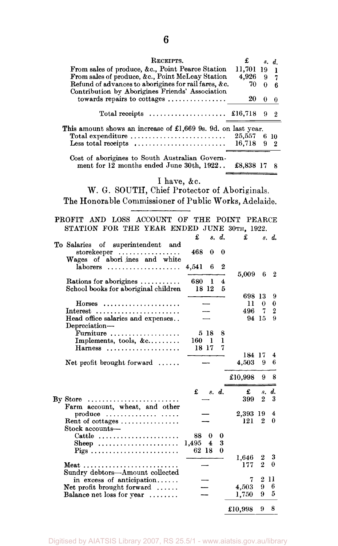| RECEIPTS.                                                                                                                                                                                             |                         | £        | 8.               | d.               |                  |
|-------------------------------------------------------------------------------------------------------------------------------------------------------------------------------------------------------|-------------------------|----------|------------------|------------------|------------------|
| From sales of produce, &c., Point Pearce Station<br>From sales of produce, &c., Point McLeay Station                                                                                                  |                         |          | 11,701           | 19               | ı                |
|                                                                                                                                                                                                       | 4,926                   | 9        | 7                |                  |                  |
| Refund of advances to aborigines for rail fares, &c.<br>Contribution by Aborigines Friends' Association                                                                                               | 70                      | 0        | 6                |                  |                  |
| towards repairs to cottages $\dots\dots\dots\dots\dots$                                                                                                                                               | 20                      | $\bf{0}$ | 0                |                  |                  |
| Total receipts $\dots \dots \dots \dots \dots \dots$                                                                                                                                                  |                         |          | £16,718          | 9                | $\boldsymbol{2}$ |
| This amount shows an increase of £1,669 9s. 9d. on last year.<br>Total expenditure $\dots\dots\dots\dots\dots\dots\dots\dots\dots$<br>Less total receipts $\dots \dots \dots \dots \dots \dots \dots$ |                         |          | 25,557<br>16,718 | 9                | 6 10<br>2        |
| Cost of aborigines to South Australian Govern-<br>ment for 12 months ended June 30th, 1922                                                                                                            | £8,838 17               |          | 8                |                  |                  |
| I have, &c.                                                                                                                                                                                           |                         |          |                  |                  |                  |
| W. G. SOUTH, Chief Protector of Aboriginals.                                                                                                                                                          |                         |          |                  |                  |                  |
| The Honorable Commissioner of Public Works, Adelaide.                                                                                                                                                 |                         |          |                  |                  |                  |
|                                                                                                                                                                                                       |                         |          |                  |                  |                  |
| LOSS ACCOUNT OF<br>PROFIT<br>AND -                                                                                                                                                                    | THE                     |          | POINT PEARCE     |                  |                  |
| STATION FOR THE YEAR ENDED JUNE 30TH, 1922.                                                                                                                                                           |                         |          |                  |                  |                  |
|                                                                                                                                                                                                       | £                       | s. d.    | £                |                  | s. d.            |
| To Salaries of superintendent and                                                                                                                                                                     |                         |          |                  |                  |                  |
| storekeeper<br>Wages of abori ines and white                                                                                                                                                          | 468<br>$\bf{0}$         | 0        |                  |                  |                  |
| laborers<br>.                                                                                                                                                                                         | 4,541<br>6              | 2        |                  |                  |                  |
| Rations for aborigines                                                                                                                                                                                | 680<br>1                | 4        | 5,009            | 6                | $\boldsymbol{2}$ |
| School books for aboriginal children                                                                                                                                                                  | 18 12                   | 5        |                  |                  |                  |
|                                                                                                                                                                                                       |                         |          | 698 13           |                  | 9                |
| $H$ orses                                                                                                                                                                                             |                         |          | 11<br>496        | 0<br>-7          | 0<br>2           |
| $Interest$<br>Head office salaries and expenses<br>Depreciation-                                                                                                                                      |                         |          | 94 15            |                  | 9                |
| Furniture                                                                                                                                                                                             | 5 18                    | 8        |                  |                  |                  |
| Implements, tools, $&c \ldots \ldots$                                                                                                                                                                 | $160$ 1                 | ı        |                  |                  |                  |
| $Harness$                                                                                                                                                                                             | 18 17                   | 7        | 184 17           |                  | 4                |
| Net profit brought forward $\dots$                                                                                                                                                                    |                         |          | 4,503            | 9                | 6                |
|                                                                                                                                                                                                       |                         |          | £10,998          | 9                | 8                |
|                                                                                                                                                                                                       | $\pounds$ s.d.          |          | £                | s.               | d.               |
|                                                                                                                                                                                                       |                         |          | 399              | 2                | 3                |
| Farm account, wheat, and other                                                                                                                                                                        |                         |          |                  |                  | 4                |
| produce<br>Rent of cottages $\dots \dots \dots \dots$                                                                                                                                                 |                         |          | 2,393 19<br>121  | $\boldsymbol{2}$ | 0                |
| Stock accounts-                                                                                                                                                                                       |                         |          |                  |                  |                  |
| Cattle                                                                                                                                                                                                | 88.<br>0                | 0        |                  |                  |                  |
| Sheep                                                                                                                                                                                                 | 1,495<br>$\overline{4}$ | 3        |                  |                  |                  |
|                                                                                                                                                                                                       | 62 18                   | 0        | 1,646            | 2                | 3                |
|                                                                                                                                                                                                       |                         |          | 177              | $\overline{2}$   | 0                |
| Sundry debtors-Amount collected                                                                                                                                                                       |                         |          |                  |                  |                  |
| in excess of anticipation                                                                                                                                                                             |                         |          | 7<br>4,503       | 9                | 211<br>6         |
| Net profit brought forward $\ldots$<br>Balance net loss for year                                                                                                                                      |                         |          | 1,750            | 9                | 5                |
|                                                                                                                                                                                                       |                         |          | £10,998          | 9                | 8                |
|                                                                                                                                                                                                       |                         |          |                  |                  |                  |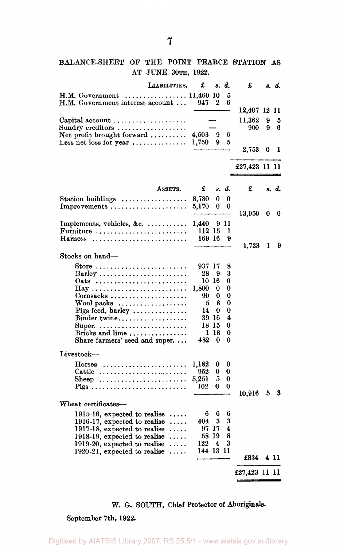# BALANCE-SHEET OF THE POINT PEARCE STATION AS AT JUNE 30TH, 1922.

| 5<br>H.M. Government<br>. 11,460 10<br>H.M. Government interest account<br>2<br>6<br>947<br>12,407 12 11<br>11.362<br>9<br>Capital account $\dots\dots\dots\dots\dots\dots\dots$<br>5<br>$\operatorname{Sundry}\operatorname{ereditors}\,\dots\dots\dots\dots\dots\dots$<br>900<br>9<br>6<br>Net profit brought forward $\ldots$<br>4,503<br>9<br>6<br>Less net loss for year $\dots\dots\dots\dots\dots$<br>1,750<br>9<br>5<br>2,753<br>0<br>1<br>£27,423 11 11<br>£<br>ASSETS.<br>£<br>d.<br>s. d.<br>8.<br>Station buildings $\dots\dots\dots\dots\dots\dots$<br>0<br>8.780<br>0 | LIABILITIES. | £ | 8. | d. | £ | s. d. |
|-------------------------------------------------------------------------------------------------------------------------------------------------------------------------------------------------------------------------------------------------------------------------------------------------------------------------------------------------------------------------------------------------------------------------------------------------------------------------------------------------------------------------------------------------------------------------------------|--------------|---|----|----|---|-------|
|                                                                                                                                                                                                                                                                                                                                                                                                                                                                                                                                                                                     |              |   |    |    |   |       |
|                                                                                                                                                                                                                                                                                                                                                                                                                                                                                                                                                                                     |              |   |    |    |   |       |
|                                                                                                                                                                                                                                                                                                                                                                                                                                                                                                                                                                                     |              |   |    |    |   |       |
|                                                                                                                                                                                                                                                                                                                                                                                                                                                                                                                                                                                     |              |   |    |    |   |       |
|                                                                                                                                                                                                                                                                                                                                                                                                                                                                                                                                                                                     |              |   |    |    |   |       |
|                                                                                                                                                                                                                                                                                                                                                                                                                                                                                                                                                                                     |              |   |    |    |   |       |
|                                                                                                                                                                                                                                                                                                                                                                                                                                                                                                                                                                                     |              |   |    |    |   |       |
|                                                                                                                                                                                                                                                                                                                                                                                                                                                                                                                                                                                     |              |   |    |    |   |       |
|                                                                                                                                                                                                                                                                                                                                                                                                                                                                                                                                                                                     |              |   |    |    |   |       |
|                                                                                                                                                                                                                                                                                                                                                                                                                                                                                                                                                                                     |              |   |    |    |   |       |
|                                                                                                                                                                                                                                                                                                                                                                                                                                                                                                                                                                                     |              |   |    |    |   |       |
|                                                                                                                                                                                                                                                                                                                                                                                                                                                                                                                                                                                     |              |   |    |    |   |       |
| 5.170<br>0<br>0                                                                                                                                                                                                                                                                                                                                                                                                                                                                                                                                                                     | Improvements |   |    |    |   |       |
| 13,950<br>0<br>0                                                                                                                                                                                                                                                                                                                                                                                                                                                                                                                                                                    |              |   |    |    |   |       |
| Implements, vehicles, &c. $\dots\dots\dots\dots$<br>1,440<br>911                                                                                                                                                                                                                                                                                                                                                                                                                                                                                                                    |              |   |    |    |   |       |
| 112 15<br>Furniture $\dots\dots\dots\dots\dots\dots\dots\dots\dots$<br>ı                                                                                                                                                                                                                                                                                                                                                                                                                                                                                                            |              |   |    |    |   |       |
| 169 16<br>9<br>Harness                                                                                                                                                                                                                                                                                                                                                                                                                                                                                                                                                              |              |   |    |    |   |       |
| 1,723<br>ı<br>9                                                                                                                                                                                                                                                                                                                                                                                                                                                                                                                                                                     |              |   |    |    |   |       |
| Stocks on hand-                                                                                                                                                                                                                                                                                                                                                                                                                                                                                                                                                                     |              |   |    |    |   |       |
| 937 17<br>Store<br>8                                                                                                                                                                                                                                                                                                                                                                                                                                                                                                                                                                |              |   |    |    |   |       |
| 28<br>9<br>3<br>Barley                                                                                                                                                                                                                                                                                                                                                                                                                                                                                                                                                              |              |   |    |    |   |       |
| 10 16<br>0<br>Oats                                                                                                                                                                                                                                                                                                                                                                                                                                                                                                                                                                  |              |   |    |    |   |       |
| 1,800<br>0<br>0                                                                                                                                                                                                                                                                                                                                                                                                                                                                                                                                                                     |              |   |    |    |   |       |
| 90<br>0<br>0                                                                                                                                                                                                                                                                                                                                                                                                                                                                                                                                                                        |              |   |    |    |   |       |
| 8<br>$\text{Wood}\ \text{packs}\ \ldots \ldots \ldots \ldots \ldots$<br>5<br>0<br>14<br>0<br>0                                                                                                                                                                                                                                                                                                                                                                                                                                                                                      |              |   |    |    |   |       |
| Pigs feed, barley $\dots\dots\dots\dots\dots$<br>4<br>Binder twine<br>39 16                                                                                                                                                                                                                                                                                                                                                                                                                                                                                                         |              |   |    |    |   |       |
| 18 15<br>0<br>Super                                                                                                                                                                                                                                                                                                                                                                                                                                                                                                                                                                 |              |   |    |    |   |       |
| Bricks and lime<br>1 18<br>0                                                                                                                                                                                                                                                                                                                                                                                                                                                                                                                                                        |              |   |    |    |   |       |
| Share farmers' seed and super<br>482<br>0<br>0                                                                                                                                                                                                                                                                                                                                                                                                                                                                                                                                      |              |   |    |    |   |       |
| Livestock-                                                                                                                                                                                                                                                                                                                                                                                                                                                                                                                                                                          |              |   |    |    |   |       |
| 1,182<br>${\rm Horses}$<br>0<br>0                                                                                                                                                                                                                                                                                                                                                                                                                                                                                                                                                   |              |   |    |    |   |       |
| 952<br>0<br>0<br>Cattle                                                                                                                                                                                                                                                                                                                                                                                                                                                                                                                                                             |              |   |    |    |   |       |
| 5,251<br>5<br>0<br>Sheep                                                                                                                                                                                                                                                                                                                                                                                                                                                                                                                                                            |              |   |    |    |   |       |
| 0<br>102<br>0<br>Pigs                                                                                                                                                                                                                                                                                                                                                                                                                                                                                                                                                               |              |   |    |    |   |       |
| 10,916<br>3<br>5                                                                                                                                                                                                                                                                                                                                                                                                                                                                                                                                                                    |              |   |    |    |   |       |
| Wheat certificates-                                                                                                                                                                                                                                                                                                                                                                                                                                                                                                                                                                 |              |   |    |    |   |       |
| 6<br>6<br>6<br>1915-16, expected to realise                                                                                                                                                                                                                                                                                                                                                                                                                                                                                                                                         |              |   |    |    |   |       |
| 3<br>3<br>1916-17, expected to realise<br>404<br>.                                                                                                                                                                                                                                                                                                                                                                                                                                                                                                                                  |              |   |    |    |   |       |
| 97 17<br>4<br>1917-18, expected to realise<br>.<br>8<br>58 19                                                                                                                                                                                                                                                                                                                                                                                                                                                                                                                       |              |   |    |    |   |       |
| 1918-19, expected to realise<br>.<br>3<br>122<br>4<br>1919-20, expected to realise<br>.                                                                                                                                                                                                                                                                                                                                                                                                                                                                                             |              |   |    |    |   |       |
| 144 13 11<br>1920-21, expected to realise                                                                                                                                                                                                                                                                                                                                                                                                                                                                                                                                           |              |   |    |    |   |       |
| £834<br>411                                                                                                                                                                                                                                                                                                                                                                                                                                                                                                                                                                         |              |   |    |    |   |       |
| £27,423 11 11                                                                                                                                                                                                                                                                                                                                                                                                                                                                                                                                                                       |              |   |    |    |   |       |

# W. G. SOUTH, Chief Protector of Aboriginals.

## September 7th, 1922.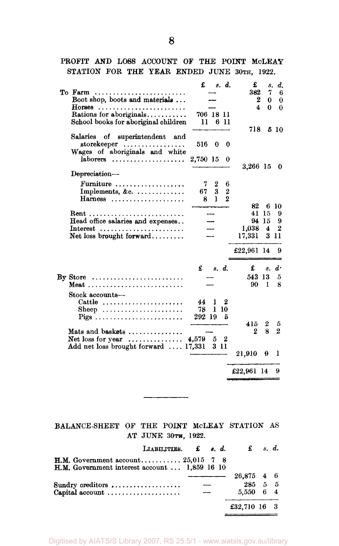PROFIT AND LOSS ACCOUNT OF THE POINT MCLEAY STATION FOR THE YEAR ENDED JUNE 30TH, 1922.

|                                                   | £         |                  | s. d.          | £                | s.             | d.               |
|---------------------------------------------------|-----------|------------------|----------------|------------------|----------------|------------------|
| To Farm $\dots \dots$                             |           |                  |                | 382              | 7              | 6                |
| Boot shop, boots and materials                    |           |                  |                | $\boldsymbol{2}$ | 0              | $\bf{0}$         |
| Horses                                            |           |                  |                | 4                | 0              | $\Omega$         |
| Rations for aboriginals                           | 706 18 11 |                  |                |                  |                |                  |
| School books for aboriginal children              | 11        |                  | 6 11           |                  |                |                  |
|                                                   |           |                  |                | 718              |                | 5 10             |
| Salaries of superintendent and                    |           |                  |                |                  |                |                  |
| storekeeper                                       | 516       | $\bf{0}$         | - 0            |                  |                |                  |
| Wages of aboriginals and white                    |           |                  |                |                  |                |                  |
| $laborers$                                        | 2,750 15  |                  | 0              |                  |                |                  |
|                                                   |           |                  |                | 3,266 15         |                | 0                |
| Depreciation-                                     |           |                  |                |                  |                |                  |
| Furniture                                         | 7.        | $\boldsymbol{2}$ | 6              |                  |                |                  |
| Implements, &c.                                   | 67        | $\bf{3}$         | $\overline{2}$ |                  |                |                  |
| $Harness$                                         | 8         | $\mathbf{I}$     | $\bf{2}$       |                  |                |                  |
|                                                   |           |                  |                | 82               |                | 6 10             |
|                                                   |           |                  |                | 41               | -15            | 9                |
| Head office salaries and expenses                 |           |                  |                | 94               | 15             | 9                |
| $Interest$                                        |           |                  |                | 1,038            | $\overline{4}$ | $\boldsymbol{2}$ |
| Net loss brought forward                          |           |                  |                | 17,331           |                | 3 11             |
|                                                   |           |                  |                |                  |                |                  |
|                                                   |           |                  |                | £22,961 14       |                | 9                |
|                                                   |           |                  |                |                  |                |                  |
|                                                   | £         | s. d.            |                | £                |                | $s \, d \cdot$   |
| $\mathbf{By}$ Store                               |           |                  |                | 543 13           |                | 5                |
| Meat                                              |           |                  |                | 90               | L              | 8                |
| Stock accounts-                                   |           |                  |                |                  |                |                  |
| Cattle $\dots\dots\dots\dots\dots\dots\dots\dots$ | 44        | 1                | 2              |                  |                |                  |
| Sheep                                             | 78        | 110              |                |                  |                |                  |
|                                                   | 292 19    |                  | 5              |                  |                |                  |
|                                                   |           |                  |                | 415              | $\mathbf{2}$   | 5                |
| Mats and baskets $\dots\dots\dots\dots\dots$      |           |                  |                | $\boldsymbol{2}$ | 8              | $\overline{2}$   |
| Net loss for year $\dots\dots\dots\dots$          | 4.579 5 2 |                  |                |                  |                |                  |
| Add net loss brought forward  17,331              |           | 3 11             |                |                  |                |                  |
|                                                   |           |                  |                | 21,910           | 9              | ı                |
|                                                   |           |                  |                |                  |                |                  |
|                                                   |           |                  |                | £22,961 14       |                | 9                |
|                                                   |           |                  |                |                  |                |                  |

BALANCE-SHEET OF THE POINT McLEAY STATION AS AT JUNE 30TH, 1922.

\_\_\_\_\_\_\_\_\_

| LIABILITIES. $\pounds$ s.d.                                                            |  | $\mathbf{f}$ s.d. |  |
|----------------------------------------------------------------------------------------|--|-------------------|--|
| H.M. Government account $25,015$ 7 8<br>H.M. Government interest account $1,859$ 16 10 |  |                   |  |
|                                                                                        |  | 26,875 4 6        |  |
| Sundry creditors                                                                       |  | 285 5 5           |  |
| Capital account $\dots\dots\dots\dots\dots\dots$                                       |  | 5,550 6 4         |  |
|                                                                                        |  | £32,710 16 3      |  |

**8**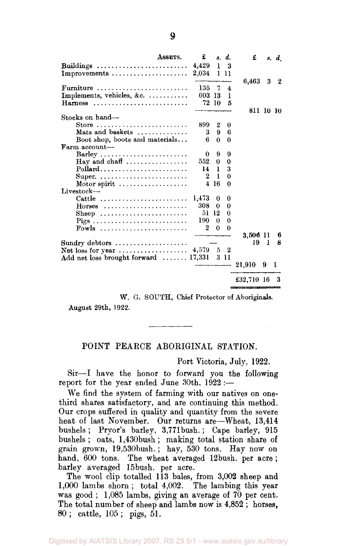|                                                                 | ASSETS. | £         |              | s. d.                   | £          |    | s. d.            |
|-----------------------------------------------------------------|---------|-----------|--------------|-------------------------|------------|----|------------------|
| Buildings                                                       |         | 4,429     | 1            | 3                       |            |    |                  |
| Improvements $\dots\dots\dots\dots\dots\dots\dots$              |         | $2,034$ 1 |              | n                       |            |    |                  |
|                                                                 |         |           |              |                         | 6,463      | 3  | $\boldsymbol{2}$ |
| Furniture                                                       |         | 135       | 7            | $\overline{\mathbf{4}}$ |            |    |                  |
| Implements, vehicles, &c.                                       |         | 603 13    |              | 1                       |            |    |                  |
| Harness                                                         |         |           | 72 10        | 5                       | 811 10 10  |    |                  |
| Stocks on hand-                                                 |         |           |              |                         |            |    |                  |
| Store $\ldots \ldots \ldots \ldots \ldots \ldots \ldots \ldots$ |         | 899.      | 2            | 0                       |            |    |                  |
| Mats and baskets                                                |         | 3         | Ō.           | 6                       |            |    |                  |
| Boot shop, boots and materials                                  |         | 6         | $\Omega$     | 0                       |            |    |                  |
| Farm account-                                                   |         |           |              |                         |            |    |                  |
| Barley                                                          |         | 0         | 9            | 9                       |            |    |                  |
| Hay and chaff $\dots\dots\dots\dots\dots\dots$                  |         | 552       | $\mathbf{0}$ | 0                       |            |    |                  |
| $Pollard$                                                       |         | 14        | 1            | 3                       |            |    |                  |
| Super                                                           |         | $\bf{2}$  | 1            | 0                       |            |    |                  |
| Motor spirit $\ldots \ldots \ldots \ldots \ldots$               |         |           | 4 16         | 0                       |            |    |                  |
| Livestock-                                                      |         |           |              |                         |            |    |                  |
| Cattle $\ldots \ldots \ldots \ldots \ldots \ldots$              |         | 1,473     | 0            | 0                       |            |    |                  |
| $H$ orses                                                       |         | 308       | 0            | 0                       |            |    |                  |
| Sheep                                                           |         | 51 12     |              | 0                       |            |    |                  |
|                                                                 |         | 190       | $\bf{0}$     | 0                       |            |    |                  |
| Fowls                                                           |         | 2         | $\bf{0}$     | 0                       |            |    |                  |
|                                                                 |         |           |              |                         | 3,506 11   |    | 6                |
| $Sundry$ debtors $\ldots \ldots \ldots \ldots \ldots$           |         |           |              |                         | 19         | -1 | 8                |
| Net loss for year $\dots\dots\dots\dots\dots\dots$              |         | 4,579 5   |              | 2                       |            |    |                  |
| Add net loss brought forward  17,331                            |         |           |              | 3 11                    |            |    |                  |
|                                                                 |         |           |              |                         | 21,910     | 9  | 1                |
|                                                                 |         |           |              |                         | £32,710 16 |    |                  |
|                                                                 |         |           |              |                         |            |    |                  |

W. G. SOUTH, Chief Protector of Aboriginals.

August 29th, 1922.

## POINT PEARCE ABORIGINAL STATION.

#### Port Victoria, July, 1922.

Sir—I have the honor to forward you the following report for the year ended June 30th,  $1922 :=$ 

We find the system of farming with our natives on onethird shares satisfactory, and are continuing this method. Our crops suffered in quality and quantity from the severe heat of last November. Our returns are—Wheat, 13,414 bushels ; Pryor's barley, 3,771bush.; Cape barley, 915 bushels; oats, l,430bush; making total station share of grain grown, 19,530bush.; hay, 530 tons. Hay now on hand, 600 tons. The wheat averaged 12bush. per acre ; barley averaged 15bush. per acre.

The wool clip totalled 113 bales, from 3,002 sheep and 1,000 lambs shorn ; total 4,002. The lambing this year was good ; 1,085 lambs, giving an average of 70 per cent. The total number of sheep and lambs now is 4,852 ; horses, 80 ; cattle, 105 ; pigs, 51.

**9**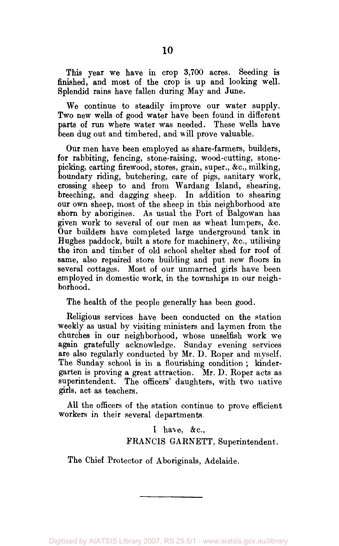This year we have in crop 3,700 acres. Seeding is finished, and most of the crop is up and looking well. Splendid rains have fallen during May and June.

We continue to steadily improve our water supply. Two new wells of good water have been found in different parts of run where water was needed. These wells have been dug out and timbered, and will prove valuable.

Our men have been employed as share-farmers, builders, for rabbiting, fencing, stone-raising, wood-cutting, stonepicking, carting firewood, stores, grain, super., &c, milking, boundary riding, butchering, care of pigs, sanitary work, crossing sheep to and from Wardang Island, shearing, breeching, and dagging sheep. In addition to shearing our own sheep, most of the sheep in this neighborhood are shorn by aborigines. As usual the Port of Balgowan has given work to several of our men as wheat lumpers, &c. Our builders have completed large underground tank in Hughes paddock, built a store for machinery, &c, utilising the iron and timber of old school shelter shed for roof of same, also repaired store building and put new floors in several cottages. Most of our unmarried girls have been employed in domestic work, in the townships in our neighborhood.

The health of the people generally has been good.

Religious services have been conducted on the station weekly as usual by visiting ministers and laymen from the churches in our neighborhood, whose unselfish work we again gratefully acknowledge. Sunday evening services are also regularly conducted by Mr. D. Roper and myself. The Sunday school is in a flourishing condition; kindergarten is proving a great attraction. Mr. D. Roper acts as superintendent. The officers' daughters, with two native girls, act as teachers.

All the officers of the station continue to prove efficient workers in their several departments.

> I have, &c, FRANCIS GARNETT, Superintendent,

The Chief Protector of Aboriginals, Adelaide.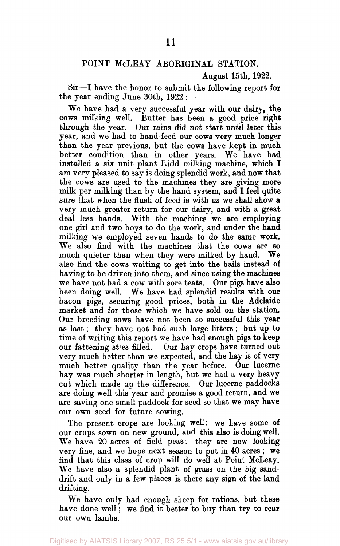#### POINT McLEAY ABORIGINAL STATION.

#### August 15th, 1922.

Sir—I have the honor to submit the following report for the year ending June 30th, 1922 :—

We have had a very successful year with our dairy, the cows milking well. Butter has been a good price right through the year. Our rains did not start until later this year, and we had to hand-feed our cows very much longer than the year previous, but the cows have kept in much better condition than in other years. We have had installed a six unit plant  $\overline{1}$  hidd milking machine, which I am very pleased to say is doing splendid work, and now that the cows are used to the machines they are giving more milk per milking than by the hand system, and I feel quite sure that when the flush of feed is with us we shall show a very much greater return for our dairy, and with a great deal less hands. With the machines we are employing one girl and two boys to do the work, and under the hand milking we employed seven hands to do the same work. We also find with the machines that the cows are so much quieter than when they were milked by hand. We also find the cows waiting to get into the bails instead of having to be driven into them, and since using the machines we have not had a cow with sore teats. Our pigs have also been doing well. We have had splendid results with our bacon pigs, securing good prices, both in the Adelaide market and for those which we have sold on the station. Our breeding sows have not been so successful this year as last; they have not had such large litters ; but up to time of writing this report we have had enough pigs to keep our fattening sties filled. Our hay crops have turned out very much better than we expected, and the hay is of very much better quality than the year before. Our lucerne hay was much shorter in length, but we had a very heavy cut which made up the difference. Our lucerne paddocks are doing well this year and promise a good return, and we are saving one small paddock for seed so that we may have our own seed for future sowing.

The present crops are looking well; we have some of our crops sown on new ground, and this also is doing well. We have 20 acres of field peas: they are now looking very fine, and we hope next season to put in 40 acres ; we find that this class of crop will do well at Point McLeay. We have also a splendid plant of grass on the big sanddrift and only in a few places is there any sign of the land drifting.

We have only had enough sheep for rations, but these have done well; we find it better to buy than try to rear our own lambs.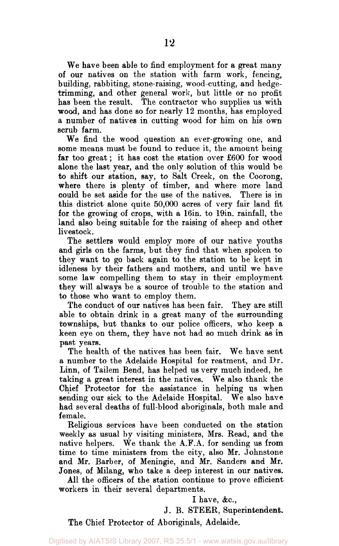We have been able to find employment for a great many of our natives on the station with farm work, fencing, building, rabbiting, stone-raising, wood-cutting, and hedgetrimming, and other general work, but little or no profit has been the result. The contractor who supplies us with wood, and has done so for nearly 12 months, has employed a number of natives in cutting wood for him on his own scrub farm.

We find the wood question an ever-growing one, and some means must be found to reduce it, the amount being **far** too great; it has cost the station over £600 for wood alone the last year, and the only solution of this would be to shift our station, say, to Salt Creek, on the Coorong, where there is plenty of timber, and where more land could be set aside for the use of the natives. There is in this district alone quite 50,000 acres of very fair land fit for the growing of crops, with a 16in. to 19in. rainfall, the land also being suitable for the raising of sheep and other livestock.

The settlers would employ more of our native youths and girls on the farms, but they find that when spoken to they want to go back again to the station to be kept in idleness by their fathers and mothers, and until we have some law compelling them to stay in their employment they will always be a source of trouble to the station and to those who want to employ them.

The conduct of our natives has been fair. They are still able to obtain drink in a great many of the surrounding townships, but thanks to our police officers, who keep a keen eye on them, they have not had so much drink as in past years.

The health of the natives has been fair. We have sent a number to the Adelaide Hospital for treatment, and Dr. Linn, of Tailem Bend, has helped us very much indeed, he taking a great interest in the natives. We also thank the Chief Protector for the assistance in helping us when sending our sick to the Adelaide Hospital. We also have had several deaths of full-blood aboriginals, both male and female.

Religious services have been conducted on the station weekly as usual by visiting ministers, Mrs. Read, and the native helpers. We thank the A.F.A. for sending us from time to time ministers from the city, also Mr. Johnstone and Mr. Barber, of Meningie, and Mr. Sanders and Mr. Jones, of Milang, who take a deep interest in our natives.

All the officers of the station continue to prove efficient workers in their several departments.

### I have, &c.,

J. B. STEER, Superintendent.

The Chief Protector of Aboriginals, Adelaide.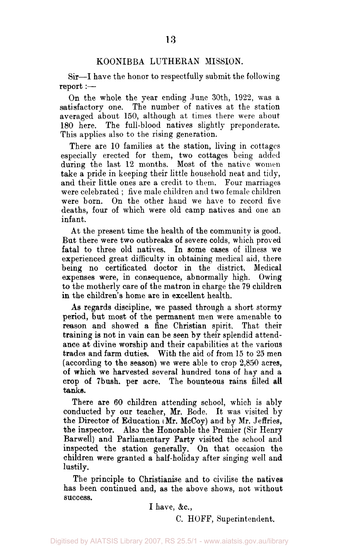#### KOONIBBA LUTHEKAN MISSION.

Sir—I have the honor to respectfully submit the following report :—

On the whole the year ending June 30th, 1922, was a satisfactory one. The number of natives at the station averaged about 150, although at times there were about 180 here. The full-blood natives slightly preponderate. This applies also to the rising generation.

There are 10 families at the station, living in cottages especially erected for them, two cottages being added during the last 12 months. Most of the native women take a pride in keeping their little household neat and tidy, and their little ones are a credit to them. Four marriages were celebrated ; five male children and two female children were born. On the other hand we have to record five deaths, four of which were old camp natives and one an infant.

At the present time the health of the community is good. But there were two outbreaks of severe colds, which proved fatal to three old natives. In some cases of illness we experienced great difficulty in obtaining medical aid, there being no certificated doctor in the district. Medical expenses were, in consequence, abnormally high. Owing to the motherly care of the matron in charge the 79 children in the children's home are in excellent health.

As regards discipline, we passed through a short stormy period, but most of the permanent men were amenable to reason and showed a fine Christian spirit. That their training is not in vain can be seen by their splendid attendance at divine worship and their capabilities at the various trades and farm duties. With the aid of from 15 to 25 men (according to the season) we were able to crop 2,850 acres, of which we harvested several hundred tons of hay and a crop of 7bush. per acre. The bounteous rains filled all tanks.

There are 60 children attending school, which is ably conducted by our teacher, Mr. Bode. It was visited by the Director of Education  $(Mr.$  McCoy) and by Mr. Jeffries, the inspector. Also the Honorable the Premier (Sir Henry Barwell) and Parliamentary Party visited the school and inspected the station generally. On that occasion the children were granted a half-holiday after singing well and lustily.

The principle to Christianise and to civilise the natives has been continued and, as the above shows, not without success.

I have, &c,

C. HOFF, Superintendent.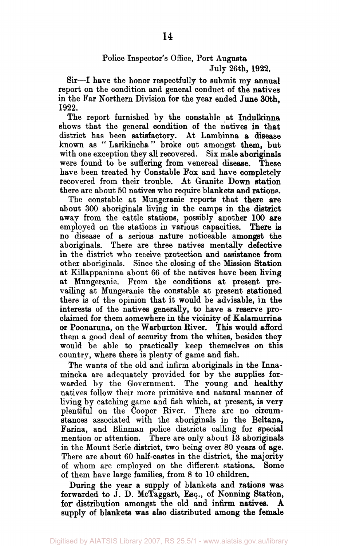## Police Inspector's Office, Port Augusta July 26th, 1922.

Sir—I have the honor respectfully to submit my annual report on the condition and general conduct of the natives in the Far Northern Division for the year ended June 30th, 1922.

The report furnished by the constable at Indulkinna shows that the general condition of the natives in that district has been satisfactory. At Lambinna a disease known as " Larikincha" broke out amongst them, but with one exception they all recovered. Six male aboriginals were found to be suffering from venereal disease. These have been treated by Constable Fox and have completely recovered from their trouble. At Granite Down station there are about 50 natives who require blankets and rations.

The constable at Mungeranie reports that there are about 300 aboriginals living in the camps in the district away from the cattle stations, possibly another 100 are employed on the stations in various capacities. There is no disease of a serious nature noticeable amongst the aboriginals. There are three natives mentally defective in the district who receive protection and assistance from other aboriginals. Since the closing of the Mission Station at Killappaninna about 66 of the natives have been living at Mungeranie. From the conditions at present prevailing at Mungeranie the constable at present stationed there is of the opinion that it would be advisable, in the interests of the natives generally, to have a reserve proclaimed for them somewhere in the vicinity of Kalamurrina or Poonaruna, on the Warburton River. This would afford them a good deal of security from the whites, besides they would be able to practically keep themselves on this country, where there is plenty of game and fish.

The wants of the old and infirm aboriginals in the Innamincka are adequately provided for by the supplies forwarded by the Government. The young and healthy natives follow their more primitive and natural manner of living by catching game and fish which, at present, is very plentiful on the Cooper River. There are no circumstances associated with the aboriginals in the Beltana, Farina, and Blinman police districts calling for special mention or attention. There are only about 13 aboriginals in the Mount Serle district, two being over 80 years of age. There are about 60 half-castes in the district, the majority of whom are employed on the different stations. Some of them have large families, from 8 to 10 children.

During the year a supply of blankets and rations was forwarded to J. D. McTaggart, Esq., of Nonning Station, for distribution amongst the old and infirm natives. A supply of blankets was also distributed among the female